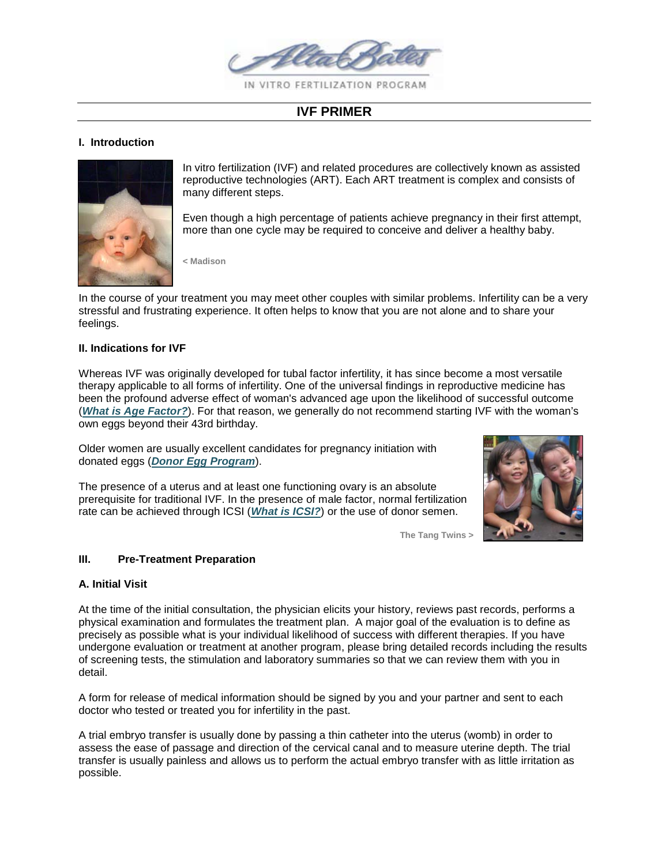

# **IVF PRIMER**

#### **I. Introduction**



In vitro fertilization (IVF) and related procedures are collectively known as assisted reproductive technologies (ART). Each ART treatment is complex and consists of many different steps.

Even though a high percentage of patients achieve pregnancy in their first attempt, more than one cycle may be required to conceive and deliver a healthy baby.

**< Madison**

In the course of your treatment you may meet other couples with similar problems. Infertility can be a very stressful and frustrating experience. It often helps to know that you are not alone and to share your feelings.

#### **II. Indications for IVF**

Whereas IVF was originally developed for tubal factor infertility, it has since become a most versatile therapy applicable to all forms of infertility. One of the universal findings in reproductive medicine has been the profound adverse effect of woman's advanced age upon the likelihood of successful outcome (*What is [Age Factor?](http://www.abivf.com/challenges/agefactor.html)*). For that reason, we generally do not recommend starting IVF with the woman's own eggs beyond their 43rd birthday.

Older women are usually excellent candidates for pregnancy initiation with donated eggs (*[Donor Egg Program](http://www.abivf.com/solutions/donoreggs.html)*).

The presence of a uterus and at least one functioning ovary is an absolute prerequisite for traditional IVF. In the presence of male factor, normal fertilization rate can be achieved through ICSI (*[What is ICSI?](http://www.abivf.com/solutions/icsi.html)*) or the use of donor semen.



**The Tang Twins >**

### **III. Pre-Treatment Preparation**

#### **A. Initial Visit**

At the time of the initial consultation, the physician elicits your history, reviews past records, performs a physical examination and formulates the treatment plan. A major goal of the evaluation is to define as precisely as possible what is your individual likelihood of success with different therapies. If you have undergone evaluation or treatment at another program, please bring detailed records including the results of screening tests, the stimulation and laboratory summaries so that we can review them with you in detail.

A form for release of medical information should be signed by you and your partner and sent to each doctor who tested or treated you for infertility in the past.

A trial embryo transfer is usually done by passing a thin catheter into the uterus (womb) in order to assess the ease of passage and direction of the cervical canal and to measure uterine depth. The trial transfer is usually painless and allows us to perform the actual embryo transfer with as little irritation as possible.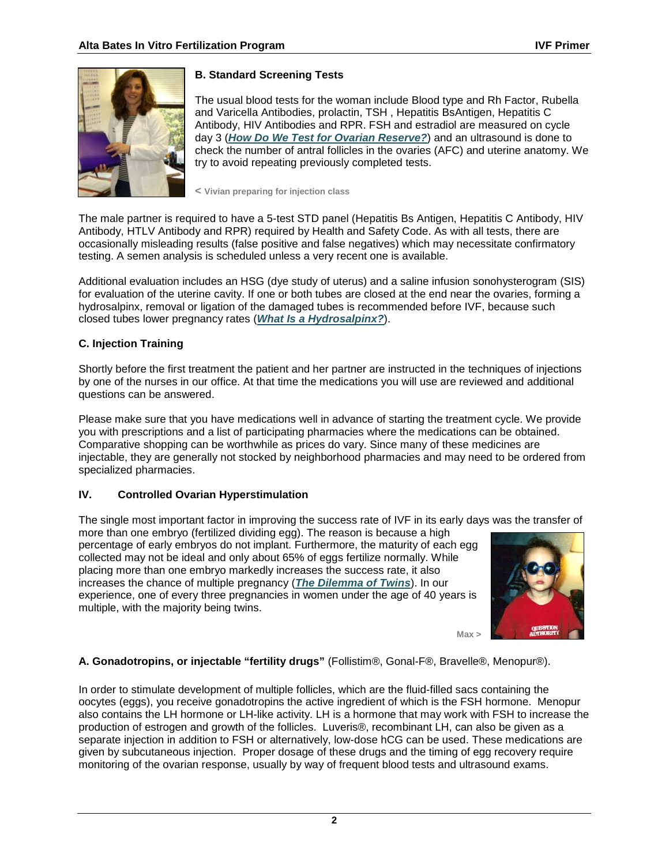

# **B. Standard Screening Tests**

The usual blood tests for the woman include Blood type and Rh Factor, Rubella and Varicella Antibodies, prolactin, TSH , Hepatitis BsAntigen, Hepatitis C Antibody, HIV Antibodies and RPR. FSH and estradiol are measured on cycle day 3 (*[How Do We Test for Ovarian Reserve?](http://www.abivf.com/challenges/ovarianreserve.html)*) and an ultrasound is done to check the number of antral follicles in the ovaries (AFC) and uterine anatomy. We try to avoid repeating previously completed tests.

**< Vivian preparing for injection class**

The male partner is required to have a 5-test STD panel (Hepatitis Bs Antigen, Hepatitis C Antibody, HIV Antibody, HTLV Antibody and RPR) required by Health and Safety Code. As with all tests, there are occasionally misleading results (false positive and false negatives) which may necessitate confirmatory testing. A semen analysis is scheduled unless a very recent one is available.

Additional evaluation includes an HSG (dye study of uterus) and a saline infusion sonohysterogram (SIS) for evaluation of the uterine cavity. If one or both tubes are closed at the end near the ovaries, forming a hydrosalpinx, removal or ligation of the damaged tubes is recommended before IVF, because such closed tubes lower pregnancy rates (*[What Is a Hydrosalpinx?](http://www.abivf.com/challenges/hydrosalpinx.html)*).

# **C. Injection Training**

Shortly before the first treatment the patient and her partner are instructed in the techniques of injections by one of the nurses in our office. At that time the medications you will use are reviewed and additional questions can be answered.

Please make sure that you have medications well in advance of starting the treatment cycle. We provide you with prescriptions and a list of participating pharmacies where the medications can be obtained. Comparative shopping can be worthwhile as prices do vary. Since many of these medicines are injectable, they are generally not stocked by neighborhood pharmacies and may need to be ordered from specialized pharmacies.

# **IV. Controlled Ovarian Hyperstimulation**

The single most important factor in improving the success rate of IVF in its early days was the transfer of

more than one embryo (fertilized dividing egg). The reason is because a high percentage of early embryos do not implant. Furthermore, the maturity of each egg collected may not be ideal and only about 65% of eggs fertilize normally. While placing more than one embryo markedly increases the success rate, it also increases the chance of multiple pregnancy (*[The Dilemma of Twins](http://www.abivf.com/hottopics/twindilemma.html)*). In our experience, one of every three pregnancies in women under the age of 40 years is multiple, with the majority being twins.



**Max >**

**A. Gonadotropins, or injectable "fertility drugs"** (Follistim®, Gonal-F®, Bravelle®, Menopur®).

In order to stimulate development of multiple follicles, which are the fluid-filled sacs containing the oocytes (eggs), you receive gonadotropins the active ingredient of which is the FSH hormone. Menopur also contains the LH hormone or LH-like activity. LH is a hormone that may work with FSH to increase the production of estrogen and growth of the follicles. Luveris®, recombinant LH, can also be given as a separate injection in addition to FSH or alternatively, low-dose hCG can be used. These medications are given by subcutaneous injection. Proper dosage of these drugs and the timing of egg recovery require monitoring of the ovarian response, usually by way of frequent blood tests and ultrasound exams.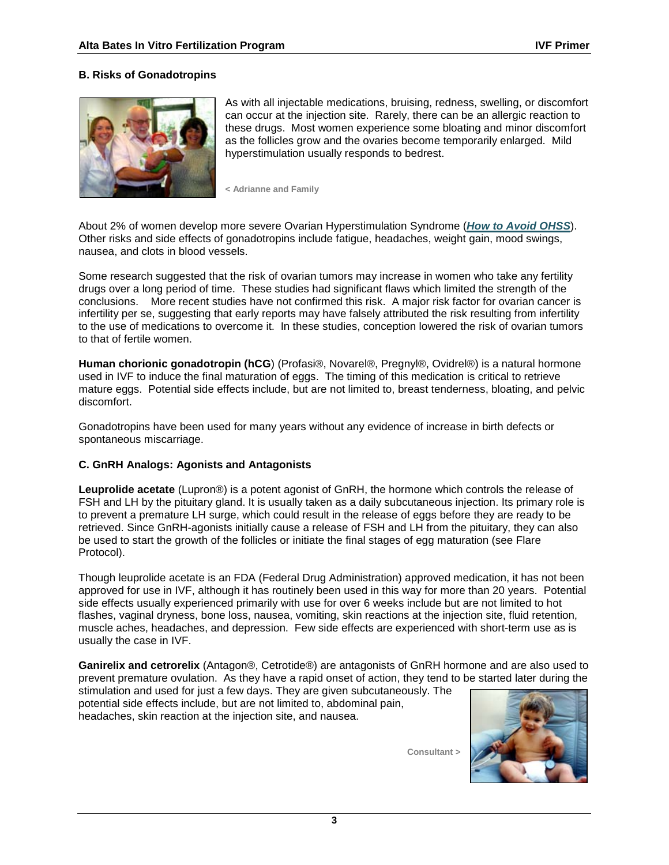## **B. Risks of Gonadotropins**



As with all injectable medications, bruising, redness, swelling, or discomfort can occur at the injection site. Rarely, there can be an allergic reaction to these drugs. Most women experience some bloating and minor discomfort as the follicles grow and the ovaries become temporarily enlarged. Mild hyperstimulation usually responds to bedrest.

**< Adrianne and Family**

About 2% of women develop more severe Ovarian Hyperstimulation Syndrome (*[How to Avoid OHSS](http://www.abivf.com/solutions/avoidohss.html)*). Other risks and side effects of gonadotropins include fatigue, headaches, weight gain, mood swings, nausea, and clots in blood vessels.

Some research suggested that the risk of ovarian tumors may increase in women who take any fertility drugs over a long period of time. These studies had significant flaws which limited the strength of the conclusions. More recent studies have not confirmed this risk. A major risk factor for ovarian cancer is infertility per se, suggesting that early reports may have falsely attributed the risk resulting from infertility to the use of medications to overcome it. In these studies, conception lowered the risk of ovarian tumors to that of fertile women.

**Human chorionic gonadotropin (hCG**) (Profasi®, Novarel®, Pregnyl®, Ovidrel®) is a natural hormone used in IVF to induce the final maturation of eggs. The timing of this medication is critical to retrieve mature eggs. Potential side effects include, but are not limited to, breast tenderness, bloating, and pelvic discomfort.

Gonadotropins have been used for many years without any evidence of increase in birth defects or spontaneous miscarriage.

### **C. GnRH Analogs: Agonists and Antagonists**

**Leuprolide acetate** (Lupron®) is a potent agonist of GnRH, the hormone which controls the release of FSH and LH by the pituitary gland. It is usually taken as a daily subcutaneous injection. Its primary role is to prevent a premature LH surge, which could result in the release of eggs before they are ready to be retrieved. Since GnRH-agonists initially cause a release of FSH and LH from the pituitary, they can also be used to start the growth of the follicles or initiate the final stages of egg maturation (see Flare Protocol).

Though leuprolide acetate is an FDA (Federal Drug Administration) approved medication, it has not been approved for use in IVF, although it has routinely been used in this way for more than 20 years. Potential side effects usually experienced primarily with use for over 6 weeks include but are not limited to hot flashes, vaginal dryness, bone loss, nausea, vomiting, skin reactions at the injection site, fluid retention, muscle aches, headaches, and depression. Few side effects are experienced with short-term use as is usually the case in IVF.

**Ganirelix and cetrorelix** (Antagon®, Cetrotide®) are antagonists of GnRH hormone and are also used to prevent premature ovulation. As they have a rapid onset of action, they tend to be started later during the

stimulation and used for just a few days. They are given subcutaneously. The potential side effects include, but are not limited to, abdominal pain, headaches, skin reaction at the injection site, and nausea.

**Consultant >**

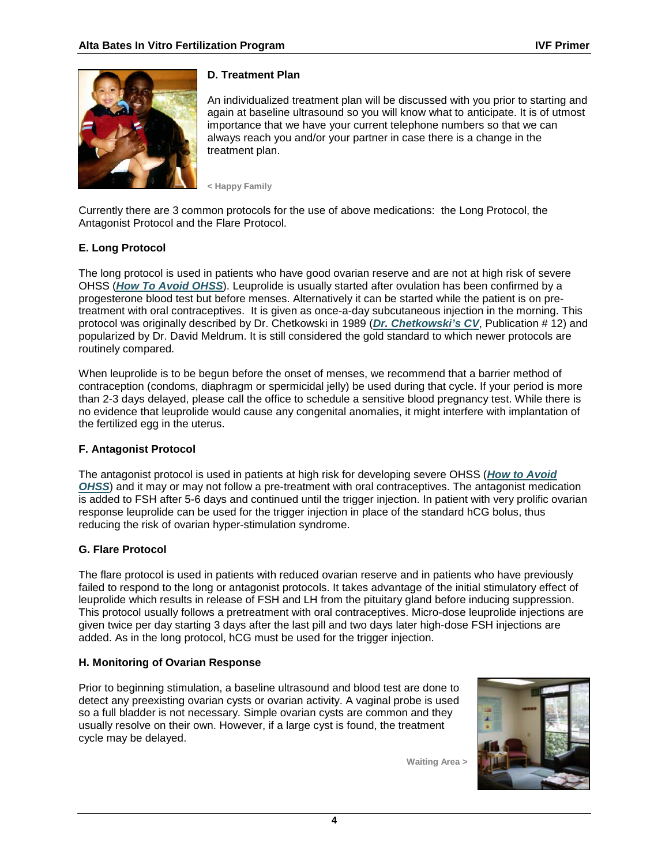

# **D. Treatment Plan**

An individualized treatment plan will be discussed with you prior to starting and again at baseline ultrasound so you will know what to anticipate. It is of utmost importance that we have your current telephone numbers so that we can always reach you and/or your partner in case there is a change in the treatment plan.

**< Happy Family**

Currently there are 3 common protocols for the use of above medications: the Long Protocol, the Antagonist Protocol and the Flare Protocol.

# **E. Long Protocol**

The long protocol is used in patients who have good ovarian reserve and are not at high risk of severe OHSS (*[How To Avoid OHSS](http://www.abivf.com/solutions/avoidohss.html)*). Leuprolide is usually started after ovulation has been confirmed by a progesterone blood test but before menses. Alternatively it can be started while the patient is on pretreatment with oral contraceptives. It is given as once-a-day subcutaneous injection in the morning. This protocol was originally described by Dr. Chetkowski in 1989 (*[Dr. Chetkowski's CV](http://www.abivf.com/aboutus/rjc_cv.html)*, Publication # 12) and popularized by Dr. David Meldrum. It is still considered the gold standard to which newer protocols are routinely compared.

When leuprolide is to be begun before the onset of menses, we recommend that a barrier method of contraception (condoms, diaphragm or spermicidal jelly) be used during that cycle. If your period is more than 2-3 days delayed, please call the office to schedule a sensitive blood pregnancy test. While there is no evidence that leuprolide would cause any congenital anomalies, it might interfere with implantation of the fertilized egg in the uterus.

# **F. Antagonist Protocol**

The antagonist protocol is used in patients at high risk for developing severe OHSS (*[How to Avoid](http://www.abivf.com/solutions/avoidohss.html)  [OHSS](http://www.abivf.com/solutions/avoidohss.html)*) and it may or may not follow a pre-treatment with oral contraceptives. The antagonist medication is added to FSH after 5-6 days and continued until the trigger injection. In patient with very prolific ovarian response leuprolide can be used for the trigger injection in place of the standard hCG bolus, thus reducing the risk of ovarian hyper-stimulation syndrome.

# **G. Flare Protocol**

The flare protocol is used in patients with reduced ovarian reserve and in patients who have previously failed to respond to the long or antagonist protocols. It takes advantage of the initial stimulatory effect of leuprolide which results in release of FSH and LH from the pituitary gland before inducing suppression. This protocol usually follows a pretreatment with oral contraceptives. Micro-dose leuprolide injections are given twice per day starting 3 days after the last pill and two days later high-dose FSH injections are added. As in the long protocol, hCG must be used for the trigger injection.

# **H. Monitoring of Ovarian Response**

Prior to beginning stimulation, a baseline ultrasound and blood test are done to detect any preexisting ovarian cysts or ovarian activity. A vaginal probe is used so a full bladder is not necessary. Simple ovarian cysts are common and they usually resolve on their own. However, if a large cyst is found, the treatment cycle may be delayed.

**Waiting Area >**

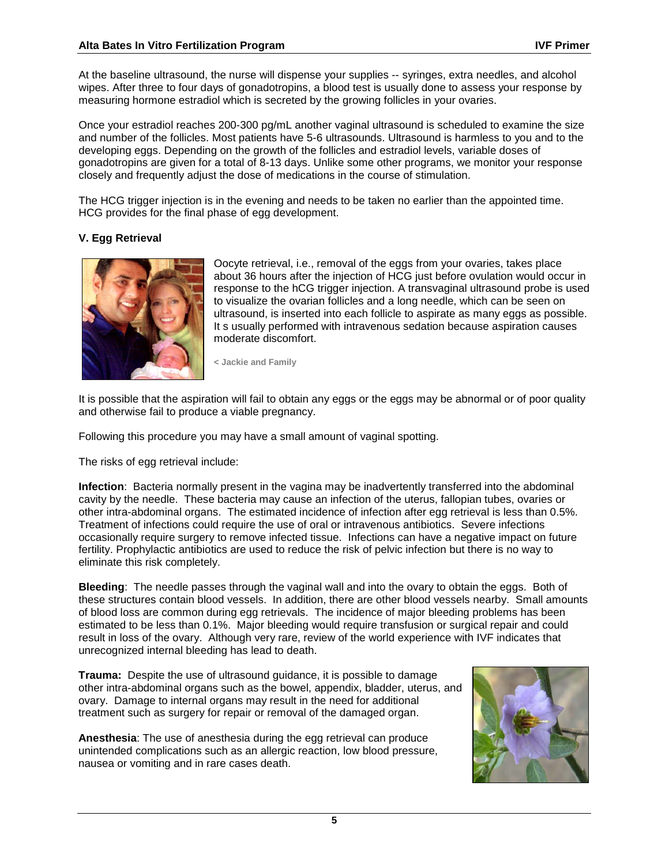At the baseline ultrasound, the nurse will dispense your supplies -- syringes, extra needles, and alcohol wipes. After three to four days of gonadotropins, a blood test is usually done to assess your response by measuring hormone estradiol which is secreted by the growing follicles in your ovaries.

Once your estradiol reaches 200-300 pg/mL another vaginal ultrasound is scheduled to examine the size and number of the follicles. Most patients have 5-6 ultrasounds. Ultrasound is harmless to you and to the developing eggs. Depending on the growth of the follicles and estradiol levels, variable doses of gonadotropins are given for a total of 8-13 days. Unlike some other programs, we monitor your response closely and frequently adjust the dose of medications in the course of stimulation.

The HCG trigger injection is in the evening and needs to be taken no earlier than the appointed time. HCG provides for the final phase of egg development.

## **V. Egg Retrieval**



Oocyte retrieval, i.e., removal of the eggs from your ovaries, takes place about 36 hours after the injection of HCG just before ovulation would occur in response to the hCG trigger injection. A transvaginal ultrasound probe is used to visualize the ovarian follicles and a long needle, which can be seen on ultrasound, is inserted into each follicle to aspirate as many eggs as possible. It s usually performed with intravenous sedation because aspiration causes moderate discomfort.

**< Jackie and Family**

It is possible that the aspiration will fail to obtain any eggs or the eggs may be abnormal or of poor quality and otherwise fail to produce a viable pregnancy.

Following this procedure you may have a small amount of vaginal spotting.

The risks of egg retrieval include:

**Infection**: Bacteria normally present in the vagina may be inadvertently transferred into the abdominal cavity by the needle. These bacteria may cause an infection of the uterus, fallopian tubes, ovaries or other intra-abdominal organs. The estimated incidence of infection after egg retrieval is less than 0.5%. Treatment of infections could require the use of oral or intravenous antibiotics. Severe infections occasionally require surgery to remove infected tissue. Infections can have a negative impact on future fertility. Prophylactic antibiotics are used to reduce the risk of pelvic infection but there is no way to eliminate this risk completely.

**Bleeding**: The needle passes through the vaginal wall and into the ovary to obtain the eggs. Both of these structures contain blood vessels. In addition, there are other blood vessels nearby. Small amounts of blood loss are common during egg retrievals. The incidence of major bleeding problems has been estimated to be less than 0.1%. Major bleeding would require transfusion or surgical repair and could result in loss of the ovary. Although very rare, review of the world experience with IVF indicates that unrecognized internal bleeding has lead to death.

**Trauma:** Despite the use of ultrasound guidance, it is possible to damage other intra-abdominal organs such as the bowel, appendix, bladder, uterus, and ovary. Damage to internal organs may result in the need for additional treatment such as surgery for repair or removal of the damaged organ.

**Anesthesia**: The use of anesthesia during the egg retrieval can produce unintended complications such as an allergic reaction, low blood pressure, nausea or vomiting and in rare cases death.

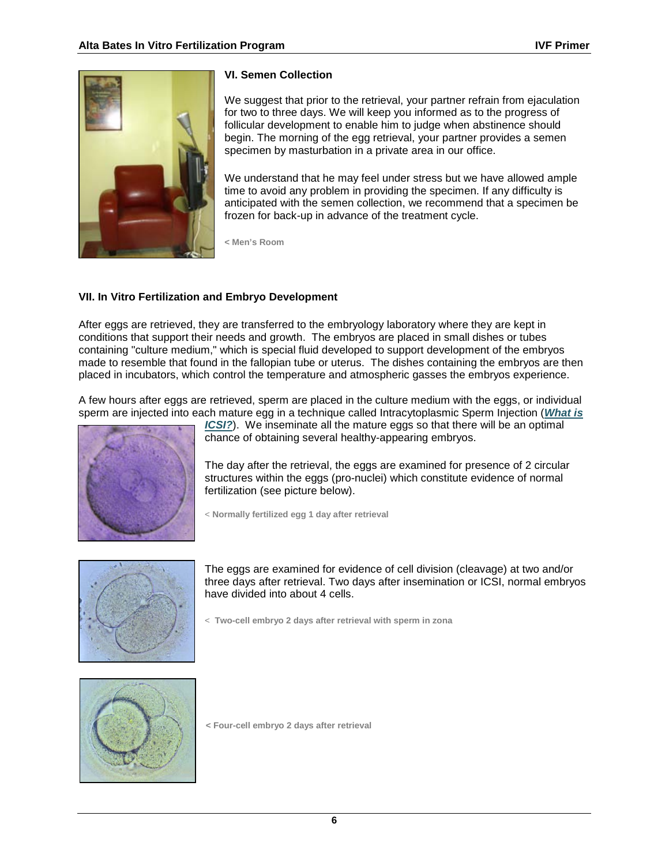

### **VI. Semen Collection**

We suggest that prior to the retrieval, your partner refrain from ejaculation for two to three days. We will keep you informed as to the progress of follicular development to enable him to judge when abstinence should begin. The morning of the egg retrieval, your partner provides a semen specimen by masturbation in a private area in our office.

We understand that he may feel under stress but we have allowed ample time to avoid any problem in providing the specimen. If any difficulty is anticipated with the semen collection, we recommend that a specimen be frozen for back-up in advance of the treatment cycle.

**< Men's Room**

## **VII. In Vitro Fertilization and Embryo Development**

After eggs are retrieved, they are transferred to the embryology laboratory where they are kept in conditions that support their needs and growth. The embryos are placed in small dishes or tubes containing "culture medium," which is special fluid developed to support development of the embryos made to resemble that found in the fallopian tube or uterus. The dishes containing the embryos are then placed in incubators, which control the temperature and atmospheric gasses the embryos experience.

A few hours after eggs are retrieved, sperm are placed in the culture medium with the eggs, or individual sperm are injected into each mature egg in a technique called Intracytoplasmic Sperm Injection (*[What is](http://www.abivf.com/solutions/icsi.html)* 



*[ICSI?](http://www.abivf.com/solutions/icsi.html)* ). We inseminate all the mature eggs so that there will be an optimal chance of obtaining several healthy-appearing embryos.

The day after the retrieval, the eggs are examined for presence of 2 circular structures within the eggs (pro-nuclei) which constitute evidence of normal fertilization (see picture below).

< **Normally fertilized egg 1 day after retrieval**



The eggs are examined for evidence of cell division (cleavage) at two and/or three days after retrieval. Two days after insemination or ICSI, normal embryos have divided into about 4 cells.

< **Two-cell embryo 2 days after retrieval with sperm in zona**



**< Four-cell embryo 2 days after retrieval**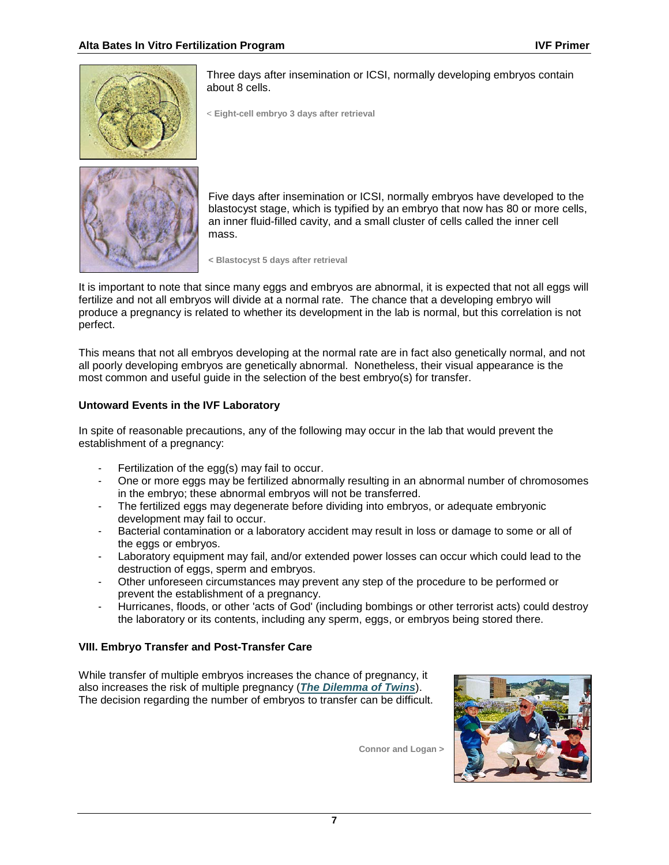

Three days after insemination or ICSI, normally developing embryos contain about 8 cells.

< **Eight-cell embryo 3 days after retrieval**



Five days after insemination or ICSI, normally embryos have developed to the blastocyst stage, which is typified by an embryo that now has 80 or more cells, an inner fluid-filled cavity, and a small cluster of cells called the inner cell mass.

**< Blastocyst 5 days after retrieval**

It is important to note that since many eggs and embryos are abnormal, it is expected that not all eggs will fertilize and not all embryos will divide at a normal rate. The chance that a developing embryo will produce a pregnancy is related to whether its development in the lab is normal, but this correlation is not perfect.

This means that not all embryos developing at the normal rate are in fact also genetically normal, and not all poorly developing embryos are genetically abnormal. Nonetheless, their visual appearance is the most common and useful guide in the selection of the best embryo(s) for transfer.

### **Untoward Events in the IVF Laboratory**

In spite of reasonable precautions, any of the following may occur in the lab that would prevent the establishment of a pregnancy:

- Fertilization of the egg(s) may fail to occur.
- One or more eggs may be fertilized abnormally resulting in an abnormal number of chromosomes in the embryo; these abnormal embryos will not be transferred.
- The fertilized eggs may degenerate before dividing into embryos, or adequate embryonic development may fail to occur.
- Bacterial contamination or a laboratory accident may result in loss or damage to some or all of the eggs or embryos.
- Laboratory equipment may fail, and/or extended power losses can occur which could lead to the destruction of eggs, sperm and embryos.
- Other unforeseen circumstances may prevent any step of the procedure to be performed or prevent the establishment of a pregnancy.
- Hurricanes, floods, or other 'acts of God' (including bombings or other terrorist acts) could destroy the laboratory or its contents, including any sperm, eggs, or embryos being stored there.

# **VIII. Embryo Transfer and Post-Transfer Care**

While transfer of multiple embryos increases the chance of pregnancy, it also increases the risk of multiple pregnancy (*[The Dilemma of Twins](http://www.abivf.com/hottopics/twindilemma.html)*). The decision regarding the number of embryos to transfer can be difficult.



**Connor and Logan >**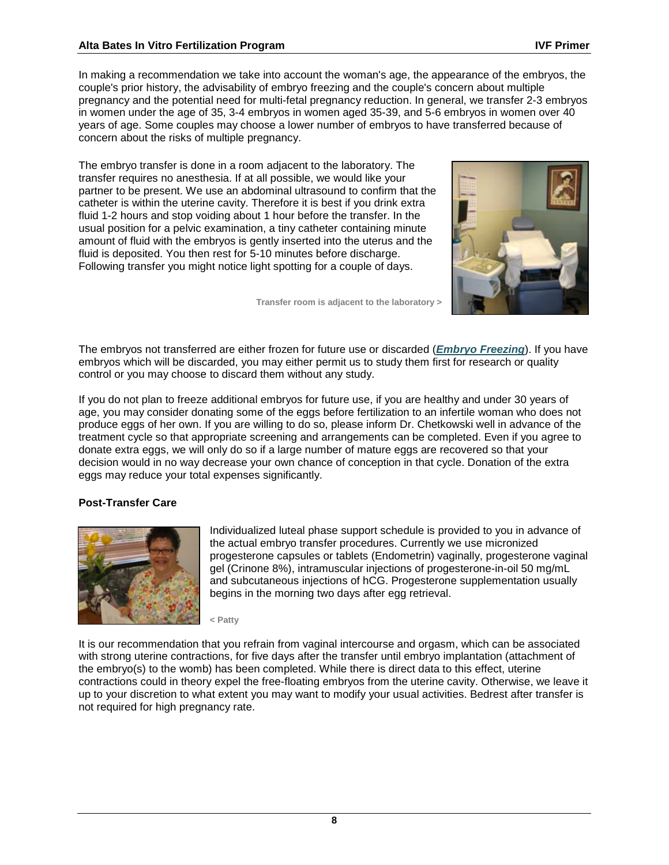### **Alta Bates In Vitro Fertilization Program IVF Primer**

In making a recommendation we take into account the woman's age, the appearance of the embryos, the couple's prior history, the advisability of embryo freezing and the couple's concern about multiple pregnancy and the potential need for multi-fetal pregnancy reduction. In general, we transfer 2-3 embryos in women under the age of 35, 3-4 embryos in women aged 35-39, and 5-6 embryos in women over 40 years of age. Some couples may choose a lower number of embryos to have transferred because of concern about the risks of multiple pregnancy.

The embryo transfer is done in a room adjacent to the laboratory. The transfer requires no anesthesia. If at all possible, we would like your partner to be present. We use an abdominal ultrasound to confirm that the catheter is within the uterine cavity. Therefore it is best if you drink extra fluid 1-2 hours and stop voiding about 1 hour before the transfer. In the usual position for a pelvic examination, a tiny catheter containing minute amount of fluid with the embryos is gently inserted into the uterus and the fluid is deposited. You then rest for 5-10 minutes before discharge. Following transfer you might notice light spotting for a couple of days.

**Transfer room is adjacent to the laboratory >**



The embryos not transferred are either frozen for future use or discarded (*[Embryo Freezing](http://www.abivf.com/solutions/embryofreezing.html)*). If you have embryos which will be discarded, you may either permit us to study them first for research or quality control or you may choose to discard them without any study.

If you do not plan to freeze additional embryos for future use, if you are healthy and under 30 years of age, you may consider donating some of the eggs before fertilization to an infertile woman who does not produce eggs of her own. If you are willing to do so, please inform Dr. Chetkowski well in advance of the treatment cycle so that appropriate screening and arrangements can be completed. Even if you agree to donate extra eggs, we will only do so if a large number of mature eggs are recovered so that your decision would in no way decrease your own chance of conception in that cycle. Donation of the extra eggs may reduce your total expenses significantly.

### **Post-Transfer Care**



Individualized luteal phase support schedule is provided to you in advance of the actual embryo transfer procedures. Currently we use micronized progesterone capsules or tablets (Endometrin) vaginally, progesterone vaginal gel (Crinone 8%), intramuscular injections of progesterone-in-oil 50 mg/mL and subcutaneous injections of hCG. Progesterone supplementation usually begins in the morning two days after egg retrieval.

**< Patty**

It is our recommendation that you refrain from vaginal intercourse and orgasm, which can be associated with strong uterine contractions, for five days after the transfer until embryo implantation (attachment of the embryo(s) to the womb) has been completed. While there is direct data to this effect, uterine contractions could in theory expel the free-floating embryos from the uterine cavity. Otherwise, we leave it up to your discretion to what extent you may want to modify your usual activities. Bedrest after transfer is not required for high pregnancy rate.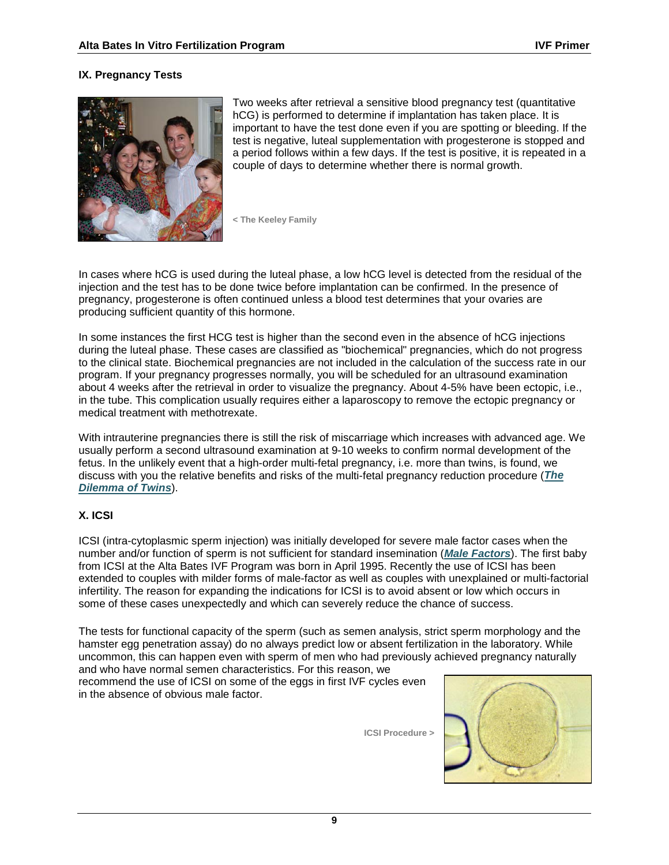## **IX. Pregnancy Tests**



Two weeks after retrieval a sensitive blood pregnancy test (quantitative hCG) is performed to determine if implantation has taken place. It is important to have the test done even if you are spotting or bleeding. If the test is negative, luteal supplementation with progesterone is stopped and a period follows within a few days. If the test is positive, it is repeated in a couple of days to determine whether there is normal growth.

**< The Keeley Family**

In cases where hCG is used during the luteal phase, a low hCG level is detected from the residual of the injection and the test has to be done twice before implantation can be confirmed. In the presence of pregnancy, progesterone is often continued unless a blood test determines that your ovaries are producing sufficient quantity of this hormone.

In some instances the first HCG test is higher than the second even in the absence of hCG injections during the luteal phase. These cases are classified as "biochemical" pregnancies, which do not progress to the clinical state. Biochemical pregnancies are not included in the calculation of the success rate in our program. If your pregnancy progresses normally, you will be scheduled for an ultrasound examination about 4 weeks after the retrieval in order to visualize the pregnancy. About 4-5% have been ectopic, i.e., in the tube. This complication usually requires either a laparoscopy to remove the ectopic pregnancy or medical treatment with methotrexate.

With intrauterine pregnancies there is still the risk of miscarriage which increases with advanced age. We usually perform a second ultrasound examination at 9-10 weeks to confirm normal development of the fetus. In the unlikely event that a high-order multi-fetal pregnancy, i.e. more than twins, is found, we discuss with you the relative benefits and risks of the multi-fetal pregnancy reduction procedure (*[The](http://www.abivf.com/hottopics/twindilemma.html)  [Dilemma of Twins](http://www.abivf.com/hottopics/twindilemma.html)*).

### **X. ICSI**

ICSI (intra-cytoplasmic sperm injection) was initially developed for severe male factor cases when the number and/or function of sperm is not sufficient for standard insemination (*[Male Factors](http://www.abivf.com/challenges/infmalefactors.html)*). The first baby from ICSI at the Alta Bates IVF Program was born in April 1995. Recently the use of ICSI has been extended to couples with milder forms of male-factor as well as couples with unexplained or multi-factorial infertility. The reason for expanding the indications for ICSI is to avoid absent or low which occurs in some of these cases unexpectedly and which can severely reduce the chance of success.

The tests for functional capacity of the sperm (such as semen analysis, strict sperm morphology and the hamster egg penetration assay) do no always predict low or absent fertilization in the laboratory. While uncommon, this can happen even with sperm of men who had previously achieved pregnancy naturally and who have normal semen characteristics. For this reason, we

recommend the use of ICSI on some of the eggs in first IVF cycles even in the absence of obvious male factor.

**ICSI Procedure >**

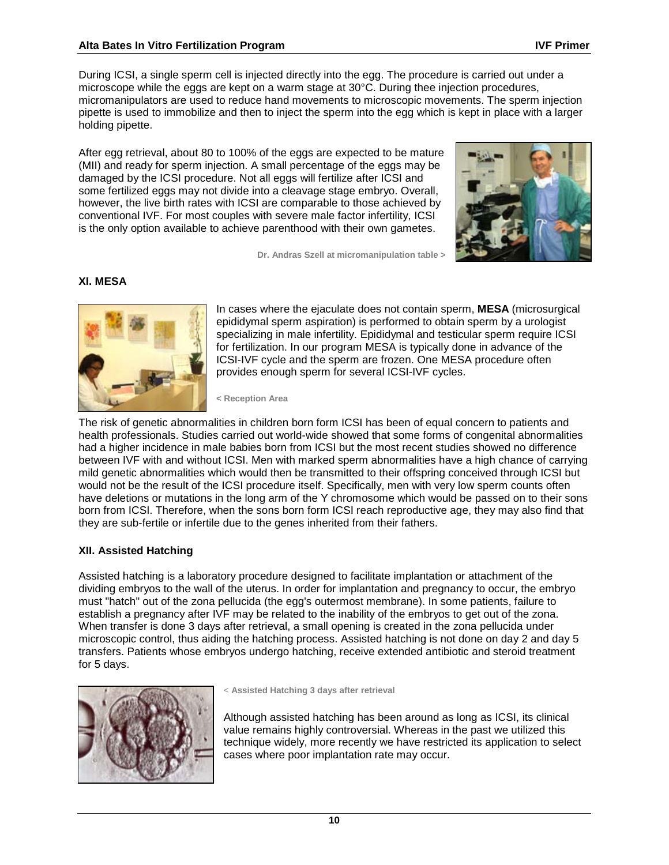### **Alta Bates In Vitro Fertilization Program IVF Primer**

During ICSI, a single sperm cell is injected directly into the egg. The procedure is carried out under a microscope while the eggs are kept on a warm stage at 30°C. During thee injection procedures, micromanipulators are used to reduce hand movements to microscopic movements. The sperm injection pipette is used to immobilize and then to inject the sperm into the egg which is kept in place with a larger holding pipette.

After egg retrieval, about 80 to 100% of the eggs are expected to be mature (MII) and ready for sperm injection. A small percentage of the eggs may be damaged by the ICSI procedure. Not all eggs will fertilize after ICSI and some fertilized eggs may not divide into a cleavage stage embryo. Overall, however, the live birth rates with ICSI are comparable to those achieved by conventional IVF. For most couples with severe male factor infertility, ICSI is the only option available to achieve parenthood with their own gametes.



**Dr. Andras Szell at micromanipulation table >** 

#### **XI. MESA**



In cases where the ejaculate does not contain sperm, **MESA** (microsurgical epididymal sperm aspiration) is performed to obtain sperm by a urologist specializing in male infertility. Epididymal and testicular sperm require ICSI for fertilization. In our program MESA is typically done in advance of the ICSI-IVF cycle and the sperm are frozen. One MESA procedure often provides enough sperm for several ICSI-IVF cycles.

**< Reception Area**

The risk of genetic abnormalities in children born form ICSI has been of equal concern to patients and health professionals. Studies carried out world-wide showed that some forms of congenital abnormalities had a higher incidence in male babies born from ICSI but the most recent studies showed no difference between IVF with and without ICSI. Men with marked sperm abnormalities have a high chance of carrying mild genetic abnormalities which would then be transmitted to their offspring conceived through ICSI but would not be the result of the ICSI procedure itself. Specifically, men with very low sperm counts often have deletions or mutations in the long arm of the Y chromosome which would be passed on to their sons born from ICSI. Therefore, when the sons born form ICSI reach reproductive age, they may also find that they are sub-fertile or infertile due to the genes inherited from their fathers.

### **XII. Assisted Hatching**

Assisted hatching is a laboratory procedure designed to facilitate implantation or attachment of the dividing embryos to the wall of the uterus. In order for implantation and pregnancy to occur, the embryo must "hatch" out of the zona pellucida (the egg's outermost membrane). In some patients, failure to establish a pregnancy after IVF may be related to the inability of the embryos to get out of the zona. When transfer is done 3 days after retrieval, a small opening is created in the zona pellucida under microscopic control, thus aiding the hatching process. Assisted hatching is not done on day 2 and day 5 transfers. Patients whose embryos undergo hatching, receive extended antibiotic and steroid treatment for 5 days.



< **Assisted Hatching 3 days after retrieval**

Although assisted hatching has been around as long as ICSI, its clinical value remains highly controversial. Whereas in the past we utilized this technique widely, more recently we have restricted its application to select cases where poor implantation rate may occur.